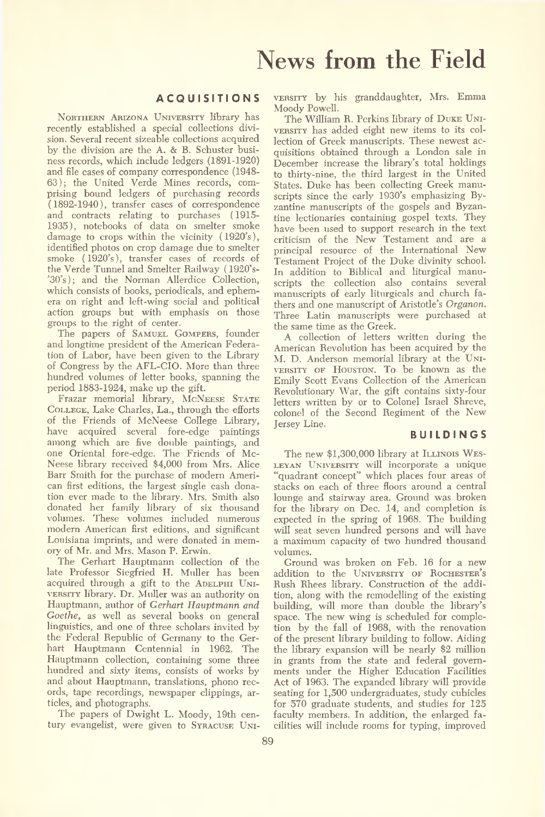#### **A C Q U IS IT IO N S**

Northern Arizona University library has recently established a special collections division. Several recent sizeable collections acquired by the division are the A. & B. Schuster business records, which include ledgers (1891-1920) and file cases of company correspondence (1948- 63); the United Verde Mines records, comprising bound ledgers of purchasing records (1892-1940), transfer cases of correspondence and contracts relating to purchases (1915- 1935), notebooks of data on smelter smoke damage to crops within the vicinity (1920's), identified photos on crop damage due to smelter smoke (1920's), transfer cases of records of the Verde Tunnel and Smelter Railway ( 1920's '30's); and the Norman Allerdice Collection, which consists of books, periodicals, and ephemera on right and left-wing social and political action groups but with emphasis on those groups to the right of center.

The papers of Samuel Gompers, founder and longtime president of the American Federation of Labor, have been given to the Library of Congress by the AFL-CIO. More than three hundred volumes of letter books, spanning the period 1883-1924, make up the gift.

Frazar memorial library, MCNEESE STATE College, Lake Charles, La., through the efforts of the Friends of McNeese College Library, have acquired several fore-edge paintings among which are five double paintings, and one Oriental fore-edge. The Friends of Mc-Neese library received \$4,000 from Mrs. Alice Barr Smith for the purchase of modern American first editions, the largest single cash donation ever made to the library. Mrs. Smith also donated her family library of six thousand volumes. These volumes included numerous modern American first editions, and significant Louisiana imprints, and were donated in memory of Mr. and Mrs. Mason P. Erwin.

The Gerhart Hauptmann collection of the late Professor Siegfried H. Muller has been acquired through a gift to the ADELPHI UNIversity library. Dr. Muller was an authority on Hauptmann, author of *Gerhart Hauptmann and Goethe,* as well as several books on general linguistics, and one of three scholars invited by the Federal Republic of Germany to the Gerhart Hauptmann Centennial in 1962. The Hauptmann collection, containing some three hundred and sixty items, consists of works by and about Hauptmann, translations, phono records, tape recordings, newspaper clippings, articles, and photographs.

The papers of Dwight L. Moody, 19th century evangelist, were given to Syracuse University by his granddaughter, Mrs. Emma Moody Powell.

The William R. Perkins library of Duke University has added eight new items to its collection of Greek manuscripts. These newest acquisitions obtained through a London sale in December increase the library's total holdings to thirty-nine, the third largest in the United States. Duke has been collecting Greek manuscripts since the early 1930's emphasizing Byzantine manuscripts of the gospels and Byzantine lectionaries containing gospel texts. They have been used to support research in the text criticism of the New Testament and are a principal resource of the International New Testament Project of the Duke divinity school. In addition to Biblical and liturgical manuscripts the collection also contains several manuscripts of early liturgicals and church fathers and one manuscript of Aristotle's *Organon.* Three Latin manuscripts were purchased at the same time as the Greek.

A collection of letters written during the American Revolution has been acquired by the M. D. Anderson memorial library at the University of Houston. To be known as the Emily Scott Evans Collection of the American Revolutionary War, the gift contains sixty-four letters written by or to Colonel Israel Shreve, colonel of the Second Regiment of the New Jersey Line.

#### **B U IL D IN G S**

The new \$1,300,000 library at ILLINOIS WES-LEYAN UNIVERSITY will incorporate a unique "quadrant concept" which places four areas of stacks on each of three floors around a central lounge and stairway area. Ground was broken for the library on Dec. 14, and completion is expected in the spring of 1968. The building will seat seven hundred persons and will have a maximum capacity of two hundred thousand volumes.

Ground was broken on Feb. 16 for a new addition to the UNIVERSITY OF ROCHESTER's Rush Rhees library. Construction of the addition, along with the remodelling of the existing building, will more than double the library's space. The new wing is scheduled for completion by the fall of 1968, with the renovation of the present library building to follow. Aiding the library expansion will be nearly \$2 million in grants from the state and federal governments under the Higher Education Facilities Act of 1963. The expanded library will provide seating for 1,500 undergraduates, study cubicles for 570 graduate students, and studies for 125 faculty members. In addition, the enlarged facilities will include rooms for typing, improved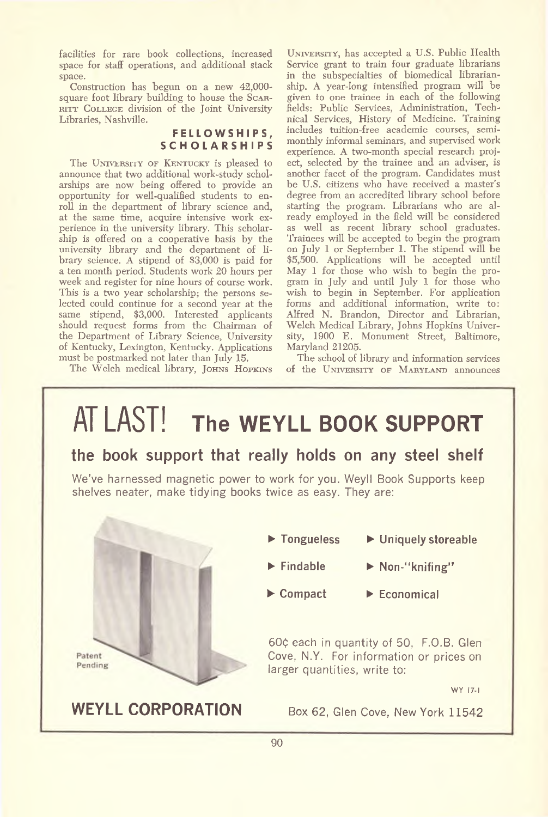facilities for rare book collections, increased space for staff operations, and additional stack space.

Construction has begun on a new 42,000 square foot library building to house the Scar-RITT COLLEGE division of the Joint University Libraries, Nashville.

#### **F E L L O W S H IP S , S C H O L A R S H IP S**

The UNIVERSITY OF KENTUCKY is pleased to announce that two additional work-study scholarships are now being offered to provide an opportunity for well-qualified students to enroll in the department of library science and, at the same time, acquire intensive work experience in the university library. This scholarship is offered on a cooperative basis by the university library and the department of library science. A stipend of \$3,000 is paid for a ten month period. Students work 20 hours per week and register for nine hours of course work. This is a two year scholarship; the persons selected could continue for a second year at the same stipend, \$3,000. Interested applicants should request forms from the Chairman of the Department of Library Science, University of Kentucky, Lexington, Kentucky. Applications must be postmarked not later than July 15.

The Welch medical library, JOHNS HOPKINS

University, has accepted a U.S. Public Health Service grant to train four graduate librarians in the subspecialties of biomedical librarianship. A year-long intensified program will be given to one trainee in each of the following fields: Public Services, Administration, Technical Services, History of Medicine. Training includes tuition-free academic courses, semimonthly informal seminars, and supervised work experience. A two-month special research project, selected by the trainee and an adviser, is another facet of the program. Candidates must be U.S. citizens who have received a master's degree from an accredited library school before starting the program. Librarians who are already employed in the field will be considered as well as recent library school graduates. Trainees will be accepted to begin the program on July 1 or September 1. The stipend will be \$5,500. Applications will be accepted until May 1 for those who wish to begin the program in July and until July 1 for those who wish to begin in September. For application forms and additional information, write to: Alfred N. Brandon, Director and Librarian, Welch Medical Library, Johns Hopkins University, 1900 E. Monument Street, Baltimore, Maryland 21205.

The school of library and information services of the UNIVERSITY OF MARYLAND announces

## AT LAST! **The WEYLL BOOK SUPPORT**

### **the book support that really holds on any steel shelf**

We've harnessed magnetic power to work tor you. Weyll Book Supports keep shelves neater, make tidying books twice as easy. They are:



**WEYLL CORPORATION** Box 62, Glen Cove, New York 11542

- **► Tongueless ► Uniquely storeable**
	-
- 
- **► Findable ► Non-"knifing"**
- **► Compact ► Economical**

60¢ each in quantity of 50, F.O.B. Glen Cove, N.Y. For information or prices on larger quantities, write to:

WY 17-1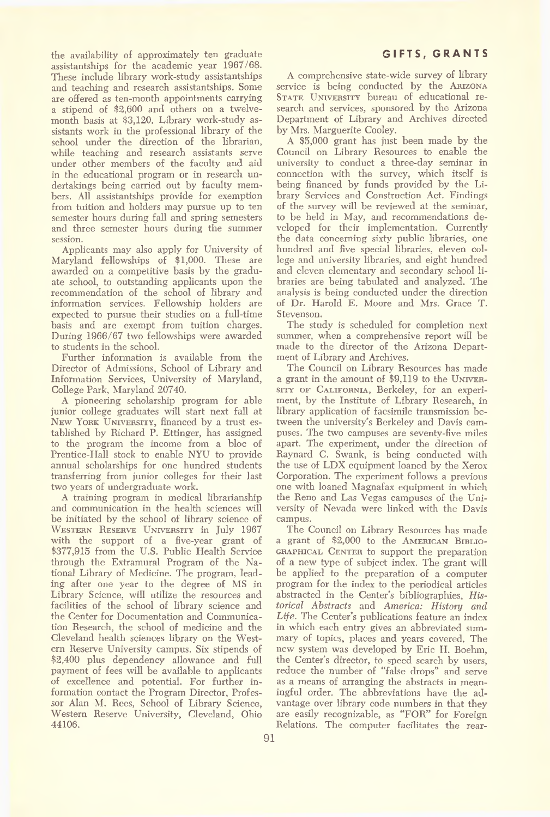the availability of approximately ten graduate assistantships for the academic year 1967/68. These include library work-study assistantships and teaching and research assistantships. Some are offered as ten-month appointments carrying a stipend of \$2,600 and others on a twelvemonth basis at \$3,120. Library work-study assistants work in the professional library of the school under the direction of the librarian, while teaching and research assistants serve under other members of the faculty and aid in the educational program or in research undertakings being carried out by faculty members. All assistantships provide for exemption from tuition and holders may pursue up to ten semester hours during fall and spring semesters and three semester hours during the summer session.

Applicants may also apply for University of Maryland fellowships of \$1,000. These are awarded on a competitive basis by the graduate school, to outstanding applicants upon the recommendation of the school of library and information services. Fellowship holders are expected to pursue their studies on a full-time basis and are exempt from tuition charges. During 1966/67 two fellowships were awarded to students in the school.

Further information is available from the Director of Admissions, School of Library and Information Services, University of Maryland, College Park, Maryland 20740.

A pioneering scholarship program for able junior college graduates will start next fall at New York University, financed by a trust established by Richard P. Ettinger, has assigned to the program the income from a bloc of Prentice-Hall stock to enable NYU to provide annual scholarships for one hundred students transferring from junior colleges for their last two years of undergraduate work.

A training program in medical librarianship and communication in the health sciences will be initiated by the school of library science of Western Reserve University in July 1967 with the support of a five-year grant of \$377,915 from the U.S. Public Health Service through the Extramural Program of the National Library of Medicine. The program, leading after one year to the degree of MS in Library Science, will utilize the resources and facilities of the school of library science and the Center for Documentation and Communication Research, the school of medicine and the Cleveland health sciences library on the Western Reserve University campus. Six stipends of \$2,400 plus dependency allowance and full payment of fees will be available to applicants of excellence and potential. For further information contact the Program Director, Professor Alan M. Rees, School of Library Science, Western Reserve University, Cleveland, Ohio 44106.

A comprehensive state-wide survey of library service is being conducted by the ARIZONA STATE UNIVERSITY bureau of educational research and services, sponsored by the Arizona Department of Library and Archives directed by Mrs. Marguerite Cooley.

A \$5,000 grant has just been made by the Council on Library Resources to enable the university to conduct a three-day seminar in connection with the survey, which itself is being financed by funds provided by the Library Services and Construction Act. Findings of the survey will be reviewed at the seminar, to be held in May, and recommendations developed for their implementation. Currently the data concerning sixty public libraries, one hundred and five special libraries, eleven college and university libraries, and eight hundred and eleven elementary and secondary school libraries are being tabulated and analyzed. The analysis is being conducted under the direction of Dr. Harold E. Moore and Mrs. Grace T. Stevenson.

The study is scheduled for completion next summer, when a comprehensive report will be made to the director of the Arizona Department of Library and Archives.

The Council on Library Resources has made a grant in the amount of \$9,119 to the UNIVERsity of California, Berkeley, for an experiment, by the Institute of Library Research, in library application of facsimile transmission between the university's Berkeley and Davis campuses. The two campuses are seventy-five miles apart. The experiment, under the direction of Raynard C. Swank, is being conducted with the use of LDX equipment loaned by the Xerox Corporation. The experiment follows a previous one with loaned Magnafax equipment in which the Reno and Las Vegas campuses of the University of Nevada were linked with the Davis campus.

The Council on Library Resources has made a grant of \$2,000 to the American Bibliographical Center to support the preparation of a new type of subject index. The grant will be applied to the preparation of a computer program for the index to the periodical articles abstracted in the Center's bibliographies, *Historical Abstracts* and *America: History and Life.* The Center's publications feature an index in which each entry gives an abbreviated summary of topics, places and years covered. The new system was developed by Eric H. Boehm, the Center's director, to speed search by users, reduce the number of "false drops" and serve as a means of arranging the abstracts in meaningful order. The abbreviations have the advantage over library code numbers in that they are easily recognizable, as "FOR" for Foreign Relations. The computer facilitates the rear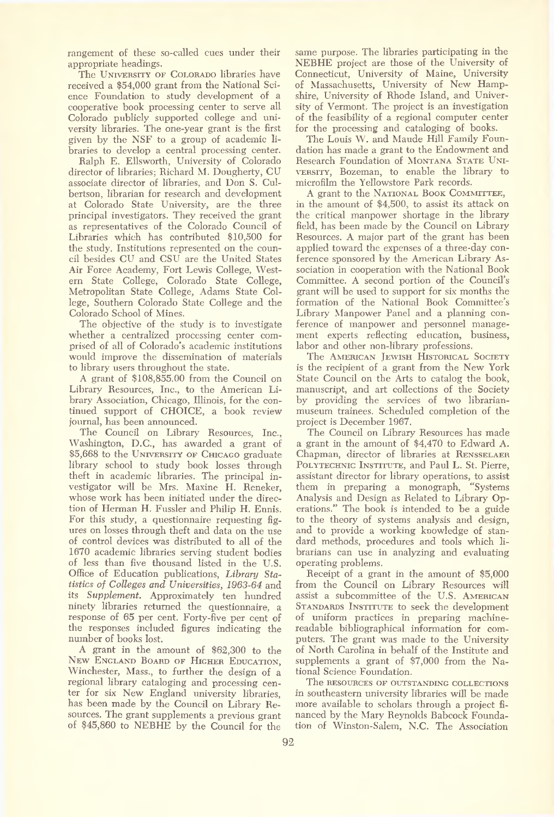rangement of these so-called cues under their appropriate headings.

The UNIVERSITY OF COLORADO libraries have received a \$54,000 grant from the National Science Foundation to study development of a cooperative book processing center to serve all Colorado publicly supported college and university libraries. The one-year grant is the first given by the NSF to a group of academic libraries to develop a central processing center.

Ralph E. Ellsworth, University of Colorado director of libraries; Richard M. Dougherty, CU associate director of libraries, and Don S. Culbertson, librarian for research and development at Colorado State University, are the three principal investigators. They received the grant as representatives of the Colorado Council of Libraries which has contributed \$10,500 for the study. Institutions represented on the council besides CU and CSU are the United States Air Force Academy, Fort Lewis College, Western State College, Colorado State College, Metropolitan State College, Adams State College, Southern Colorado State College and the Colorado School of Mines.

The objective of the study is to investigate whether a centralized processing center comprised of all of Colorado's academic institutions would improve the dissemination of materials to library users throughout the state.

A grant of \$108,855.00 from the Council on Library Resources, Inc., to the American Library Association, Chicago, Illinois, for the continued support of CHOICE, a book review journal, has been announced.

The Council on Library Resources, Inc., Washington, D.C., has awarded a grant of \$5,668 to the UNIVERSITY OF CHICAGO graduate library school to study book losses through theft in academic libraries. The principal investigator will be Mrs. Maxine H. Reneker, whose work has been initiated under the direction of Herman H. Fussier and Philip H. Ennis. For this study, a questionnaire requesting figures on losses through theft and data on the use of control devices was distributed to all of the 1670 academic libraries serving student bodies of less than five thousand listed in the U.S. Office of Education publications, *Library Statistics of Colleges and Universities, 1963-64* and its *Supplement.* Approximately ten hundred ninety libraries returned the questionnaire, a response of 65 per cent. Forty-five per cent of the responses included figures indicating the number of books lost.

A grant in the amount of \$62,300 to the New England Board of Higher Education, Winchester, Mass., to further the design of a regional library cataloging and processing center for six New England university libraries, has been made by the Council on Library Resources. The grant supplements a previous grant of \$45,860 to NEBHE by the Council for the

same purpose. The libraries participating in the NEBHE project are those of the University of Connecticut, University of Maine, University of Massachusetts, University of New Hampshire, University of Rhode Island, and University of Vermont. The project is an investigation of the feasibility of a regional computer center for the processing and cataloging of books.

The Louis W. and Maude Hill Family Foundation has made a grant to the Endowment and Research Foundation of MONTANA STATE UNIversity, Bozeman, to enable the library to microfilm the Yellowstore Park records.

A grant to the National Book Committee, in the amount of \$4,500, to assist its attack on the critical manpower shortage in the library field, has been made by the Council on Library Resources. A major part of the grant has been applied toward the expenses of a three-day conference sponsored by the American Library Association in cooperation with the National Book Committee. A second portion of the Council's grant will be used to support for six months the formation of the National Book Committee's Library Manpower Panel and a planning conference of manpower and personnel management experts reflecting education, business, labor and other non-library professions.

The AMERICAN JEWISH HISTORICAL SOCIETY is the recipient of a grant from the New York State Council on the Arts to catalog the book, manuscript, and art collections of the Society by providing the services of two librarianmuseum trainees. Scheduled completion of the project is December 1967.

The Council on Library Resources has made a grant in the amount of \$4,470 to Edward A. Chapman, director of libraries at Rensselaer POLYTECHNIC INSTITUTE, and Paul L. St. Pierre, assistant director for library operations, to assist<br>them in preparing a monograph, "Systems" them in preparing a monograph, Analysis and Design as Related to Library Operations." The book is intended to be a guide to the theory of systems analysis and design, and to provide a working knowledge of standard methods, procedures and tools which librarians can use in analyzing and evaluating operating problems.

Receipt of a grant in the amount of \$5,000 from the Council on Library Resources will assist a subcommittee of the U.S. American STANDARDS INSTITUTE to seek the development of uniform practices in preparing machinereadable bibliographical information for computers. The grant was made to the University of North Carolina in behalf of the Institute and supplements a grant of \$7,000 from the National Science Foundation.

The resources of outstanding collections in southeastern university libraries will be made more available to scholars through a project financed by the Mary Reynolds Babcock Foundation of Winston-Salem, N.C. The Association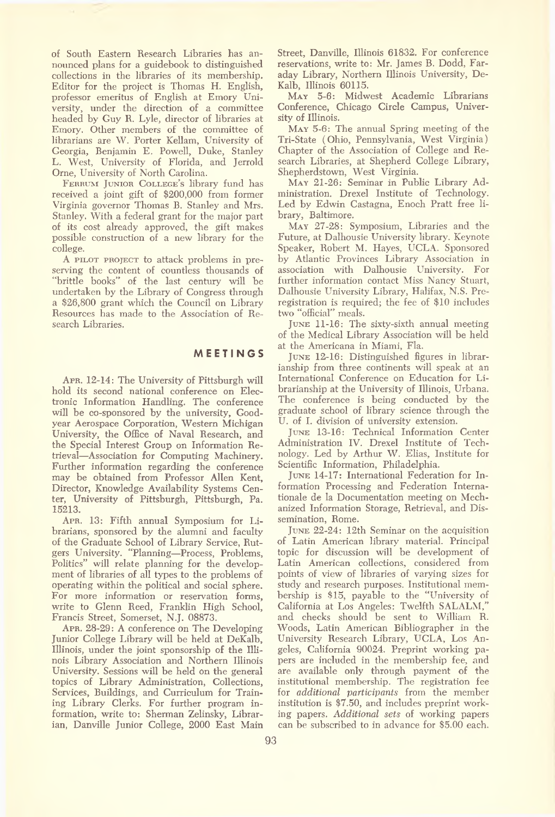of South Eastern Research Libraries has announced plans for a guidebook to distinguished collections in the libraries of its membership. Editor for the project is Thomas H. English, professor emeritus of English at Emory University, under the direction of a committee headed by Guy R. Lyle, director of libraries at Emory. Other members of the committee of librarians are W. Porter Kellam, University of Georgia, Benjamin E. Powell, Duke, Stanley L. West, University of Florida, and Jerrold Orne, University of North Carolina.

Ferrum Junior College's library fund has received a joint gift of \$200,000 from former Virginia governor Thomas B. Stanley and Mrs. Stanley. With a federal grant for the major part of its cost already approved, the gift makes possible construction of a new library for the college.

A pilot project to attack problems in preserving the content of countless thousands of "brittle books" of the last century will be undertaken by the Library of Congress through a \$26,800 grant which the Council on Library Resources has made to the Association of Research Libraries.

#### **M E E T IN G S**

Apr. 12-14: The University of Pittsburgh will hold its second national conference on Electronic Information Handling. The conference will be co-sponsored by the university, Goodyear Aerospace Corporation, Western Michigan University, the Office of Naval Research, and the Special Interest Group on Information Retrieval—Association for Computing Machinery. Further information regarding the conference may be obtained from Professor Allen Kent, Director, Knowledge Availability Systems Center, University of Pittsburgh, Pittsburgh, Pa. 15213.

Apr. 13: Fifth annual Symposium for Librarians, sponsored by the alumni and faculty of the Graduate School of Library Service, Rutgers University. "Planning—Process, Problems, Politics" will relate planning for the development of libraries of all types to the problems of operating within the political and social sphere. For more information or reservation forms, write to Glenn Reed, Franklin High School, Francis Street, Somerset, N.J. 08873.

Apr. 28-29: A conference on The Developing Junior College Library will be held at DeKalb, Illinois, under the joint sponsorship of the Illinois Library Association and Northern Illinois University. Sessions will be held on the general topics of Library Administration, Collections, Services, Buildings, and Curriculum for Training Library Clerks. For further program information, write to: Sherman Zelinsky, Librarian, Danville Junior College, 2000 East Main Street, Danville, Illinois 61832. For conference reservations, write to: Mr. James B. Dodd, Faraday Library, Northern Illinois University, De-Kalb, Illinois 60115.

May 5-6: Midwest Academic Librarians Conference, Chicago Circle Campus, University of Illinois.

May 5-6: The annual Spring meeting of the Tri-State (Ohio, Pennsylvania, West Virginia) Chapter of the Association of College and Research Libraries, at Shepherd College Library, Shepherdstown, West Virginia.

May 21-26: Seminar in Public Library Administration. Drexel Institute of Technology. Led by Edwin Castagna, Enoch Pratt free library, Baltimore.

May 27-28: Symposium, Libraries and the Future, at Dalhousie University library. Keynote Speaker, Robert M. Hayes, UCLA. Sponsored by Atlantic Provinces Library Association in association with Dalhousie University. For further information contact Miss Nancy Stuart, Dalhousie University Library, Halifax, N.S. Preregistration is required; the fee of \$10 includes two "official" meals.

June 11-16: The sixty-sixth annual meeting of the Medical Library Association will be held at the Americana in Miami, Fla.

June 12-16: Distinguished figures in librarianship from three continents will speak at an International Conference on Education for Librarianship at the University of Illinois, Urbana. The conference is being conducted by the graduate school of library science through the U. of I. division of university extension.

June 13-16: Technical Information Center Administration IV. Drexel Institute of Technology. Led by Arthur W. Elias, Institute for Scientific Information, Philadelphia.

June 14-17: International Federation for Information Processing and Federation Internationale de la Documentation meeting on Mechanized Information Storage, Retrieval, and Dissemination, Rome.

June 22-24: 12th Seminar on the acquisition of Latin American library material. Principal topic for discussion will be development of Latin American collections, considered from points of view of libraries of varying sizes for study and research purposes. Institutional membership is \$15, payable to the "University of California at Los Angeles: Twelfth SALALM," and checks should be sent to William R. Woods, Latin American Bibliographer in the University Research Library, UCLA, Los Angeles, California 90024. Preprint working papers are included in the membership fee, and are available only through payment of the institutional membership. The registration fee for *additional participants* from the member institution is \$7.50, and includes preprint working papers. *Additional sets* of working papers can be subscribed to in advance for \$5.00 each.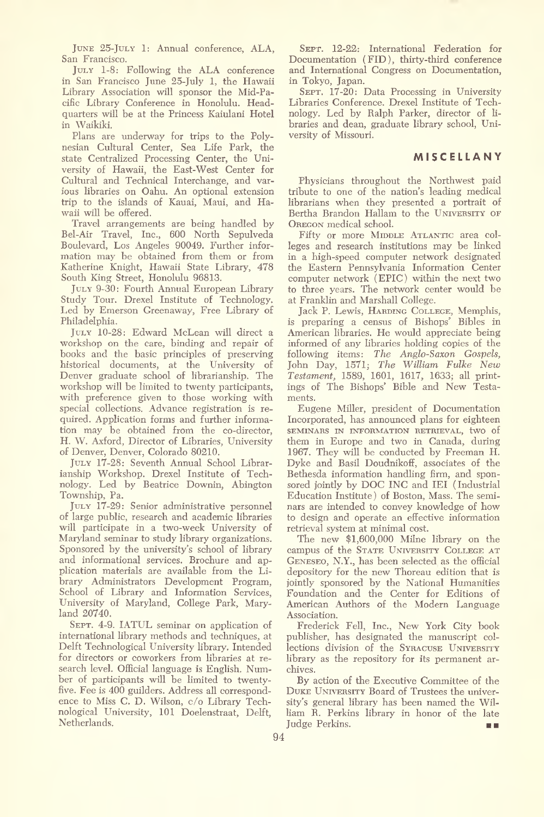June 25-July 1: Annual conference, ALA, San Francisco.

July 1-8: Following the ALA conference in San Francisco June 25-July 1, the Hawaii Library Association will sponsor the Mid-Pacific Library Conference in Honolulu. Headquarters will be at the Princess Kaiulani Hotel in Waikiki.

Plans are underway for trips to the Polynesian Cultural Center, Sea Life Park, the state Centralized Processing Center, the University of Hawaii, the East-West Center for Cultural and Technical Interchange, and various libraries on Oahu. An optional extension trip to the islands of Kauai, Maui, and Hawaii will be offered.

Travel arrangements are being handled by Bel-Air Travel, Inc., 600 North Sepulveda Boulevard, Los Angeles 90049. Further information may be obtained from them or from Katherine Knight, Hawaii State Library, 478 South King Street, Honolulu 96813.

July 9-30: Fourth Annual European Library Study Tour. Drexel Institute of Technology. Led by Emerson Greenaway, Free Library of Philadelphia.

July 10-28: Edward McLean will direct a workshop on the care, binding and repair of books and the basic principles of preserving historical documents, at the University of Denver graduate school of librarianship. The workshop will be limited to twenty participants, with preference given to those working with special collections. Advance registration is required. Application forms and further information may be obtained from the co-director, H. W. Axford, Director of Libraries, University of Denver, Denver, Colorado 80210.

July 17-28: Seventh Annual School Librarianship Workshop. Drexel Institute of Technology. Led by Beatrice Downin, Abington Township, Pa.

JULY 17-29: Senior administrative personnel of large public, research and academic libraries will participate in a two-week University of Maryland seminar to study library organizations. Sponsored by the university's school of library and informational services. Brochure and application materials are available from the Library Administrators Development Program, School of Library and Information Services, University of Maryland, College Park, Maryland 20740.

SEPT. 4-9. IATUL seminar on application of international library methods and techniques, at Delft Technological University library. Intended for directors or coworkers from libraries at research level. Official language is English. Number of participants will be limited to twentyfive. Fee is 400 guilders. Address all correspondence to Miss C. D. Wilson, c/o Library Technological University, 101 Doelenstraat, Delft, Netherlands.

SEPT. 12-22: International Federation for Documentation (FID), thirty-third conference and International Congress on Documentation, in Tokyo, Japan.

 Libraries Conference. Drexel Institute of Tech nology. Led by Ralph Parker, director of li SEPT. 17-20: Data Processing in University braries and dean, graduate library school, University of Missouri.

#### **M IS C E L L A N Y**

Physicians throughout the Northwest paid tribute to one of the nation's leading medical librarians when they presented a portrait of Bertha Brandon Hallam to the UNIVERSITY OF OREGON medical school.

Fifty or more MIDDLE ATLANTIC area colleges and research institutions may be linked in a high-speed computer network designated the Eastern Pennsylvania Information Center computer network (EPIC) within the next two to three years. The network center would be at Franklin and Marshall College.

Jack P. Lewis, Harding College, Memphis, is preparing a census of Bishops' Bibles in American libraries. He would appreciate being informed of any libraries holding copies of the following items: *The Anglo-Saxon Gospels,* John Day, 1571; *The William Fulke New Testament,* 1589, 1601, 1617, 1633; all printings of The Bishops' Bible and New Testaments.

Eugene Miller, president of Documentation Incorporated, has announced plans for eighteen **SEMINARS IN INFORMATION RETRIEVAL,** tWO of them in Europe and two in Canada, during 1967. They will be conducted by Freeman H. Dyke and Basil Doudnikoff, associates of the Bethesda information handling firm, and sponsored jointly by DOC INC and IEI (Industrial Education Institute) of Boston, Mass. The seminars are intended to convey knowledge of how to design and operate an effective information retrieval system at minimal cost.

The new \$1,600,000 Milne library on the campus of the STATE UNIVERSITY COLLEGE AT GENESEO, N.Y., has been selected as the official depository for the new Thoreau edition that is jointly sponsored by the National Humanities Foundation and the Center for Editions of American Authors of the Modern Language Association.

Frederick Fell, Inc., New York City book publisher, has designated the manuscript collections division of the SYRACUSE UNIVERSITY library as the repository for its permanent archives.

By action of the Executive Committee of the Duke University Board of Trustees the university's general library has been named the Will iam R. Perkins library in honor of the late Judge Perkins. **COL**